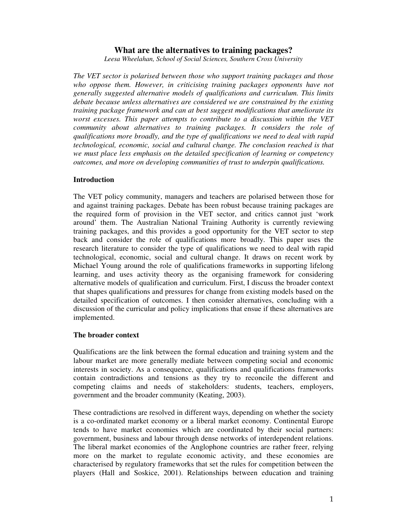# **What are the alternatives to training packages?**

*Leesa Wheelahan, School of Social Sciences, Southern Cross University*

*The VET sector is polarised between those who support training packages and those who oppose them. However, in criticising training packages opponents have not generally suggested alternative models of qualifications and curriculum. This limits debate because unless alternatives are considered we are constrained by the existing training package framework and can at best suggest modifications that ameliorate its worst excesses. This paper attempts to contribute to a discussion within the VET community about alternatives to training packages. It considers the role of qualifications more broadly, and the type of qualifications we need to deal with rapid technological, economic, social and cultural change. The conclusion reached is that we must place less emphasis on the detailed specification of learning or competency outcomes, and more on developing communities of trust to underpin qualifications.*

### **Introduction**

The VET policy community, managers and teachers are polarised between those for and against training packages. Debate has been robust because training packages are the required form of provision in the VET sector, and critics cannot just 'work around' them. The Australian National Training Authority is currently reviewing training packages, and this provides a good opportunity for the VET sector to step back and consider the role of qualifications more broadly. This paper uses the research literature to consider the type of qualifications we need to deal with rapid technological, economic, social and cultural change. It draws on recent work by Michael Young around the role of qualifications frameworks in supporting lifelong learning, and uses activity theory as the organising framework for considering alternative models of qualification and curriculum. First, I discuss the broader context that shapes qualifications and pressures for change from existing models based on the detailed specification of outcomes. I then consider alternatives, concluding with a discussion of the curricular and policy implications that ensue if these alternatives are implemented.

## **The broader context**

Qualifications are the link between the formal education and training system and the labour market are more generally mediate between competing social and economic interests in society. As a consequence, qualifications and qualifications frameworks contain contradictions and tensions as they try to reconcile the different and competing claims and needs of stakeholders: students, teachers, employers, government and the broader community (Keating, 2003).

These contradictions are resolved in different ways, depending on whether the society is a co-ordinated market economy or a liberal market economy. Continental Europe tends to have market economies which are coordinated by their social partners: government, business and labour through dense networks of interdependent relations. The liberal market economies of the Anglophone countries are rather freer, relying more on the market to regulate economic activity, and these economies are characterised by regulatory frameworks that set the rules for competition between the players (Hall and Soskice, 2001). Relationships between education and training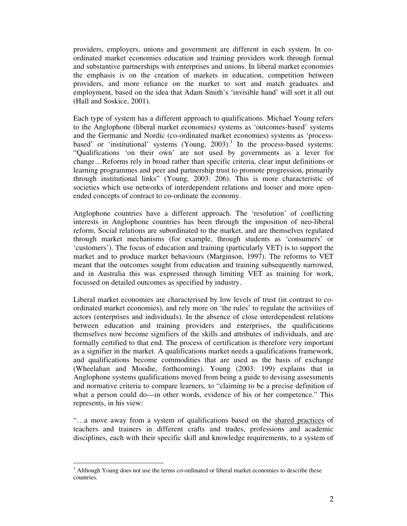ordinated market economies education and training providers work through formal and substantive partnerships with enterprises and unions. In liberal market economies the emphasis is on the creation of markets in education, competition between providers, and more reliance on the market to sort and match graduates and employment, based on the idea that Adam Smith's 'invisible hand' will sort it all out (Hall and Soskice, 2001).

Each type of system has a different approach to qualifications. Michael Young refers to the Anglophone (liberal market economies) systems as 'outcomes-based' systems and the Germanic and Nordic (co-ordinated market economies) systems as 'processbased' or 'institutional' systems (Young, 2003).<sup>1</sup> In the process-based systems: "Qualifications 'on their own' are not used by governments as a lever for change…Reforms rely in broad rather than specific criteria, clear input definitions or learning programmes and peer and partnership trust to promote progression, primarily through institutional links" (Young, 2003: 206). This is more characteristic of societies which use networks of interdependent relations and looser and more openended concepts of contract to co-ordinate the economy.

Anglophone countries have a different approach. The 'resolution' of conflicting interests in Anglophone countries has been through the imposition of neo-liberal reform. Social relations are subordinated to the market, and are themselves regulated through market mechanisms (for example, through students as 'consumers' or 'customers'). The focus of education and training (particularly VET) is to support the market and to produce market behaviours (Marginson, 1997). The reforms to VET meant that the outcomes sought from education and training subsequently narrowed, and in Australia this was expressed through limiting VET as training for work, focussed on detailed outcomes as specified by industry.

providers, employers, unions and government are different in each system. In co-<br>modulated moreks considerations and unions in the<br>heat employers, and mean and standary considers and mean and standary<br>considers and mean an Liberal market economies are characterised by low levels of trust (in contrast to coordinated market economies), and rely more on 'the rules' to regulate the activities of actors (enterprises and individuals). In the absence of close interdependent relations between education and training providers and enterprises, the qualifications themselves now become signifiers of the skills and attributes of individuals, and are formally certified to that end. The process of certification is therefore very important as a signifier in the market. A qualifications market needs a qualifications framework, and qualifications become commodities that are used as the basis of exchange (Wheelahan and Moodie, forthcoming). Young (2003: 199) explains that in Anglophone systems qualifications moved from being a guide to devising assessments and normative criteria to compare learners, to "claiming to be a precise definition of what a person could do—in other words, evidence of his or her competence." This represents, in his view:

"…a move away from a system of qualifications based on the shared practices of teachers and trainers in different crafts and trades, professions and academic disciplines, each with their specific skill and knowledge requirements, to a system of

 $<sup>1</sup>$  Although Young does not use the terms co-ordinated or liberal market economies to describe these</sup> countries.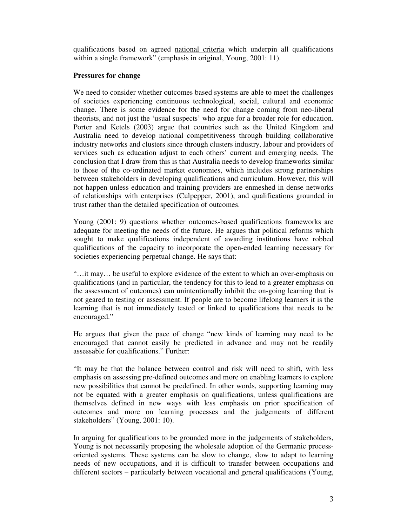qualifications based on agreed national criteria which underpin all qualifications within a single framework" (emphasis in original, Young, 2001: 11).

## **Pressures for change**

We need to consider whether outcomes based systems are able to meet the challenges of societies experiencing continuous technological, social, cultural and economic change. There is some evidence for the need for change coming from neo-liberal theorists, and not just the 'usual suspects' who argue for a broader role for education. Porter and Ketels (2003) argue that countries such as the United Kingdom and Australia need to develop national competitiveness through building collaborative industry networks and clusters since through clusters industry, labour and providers of services such as education adjust to each others' current and emerging needs. The conclusion that I draw from this is that Australia needs to develop frameworks similar to those of the co-ordinated market economies, which includes strong partnerships between stakeholders in developing qualifications and curriculum. However, this will not happen unless education and training providers are enmeshed in dense networks of relationships with enterprises (Culpepper, 2001), and qualifications grounded in trust rather than the detailed specification of outcomes.

Young (2001: 9) questions whether outcomes-based qualifications frameworks are adequate for meeting the needs of the future. He argues that political reforms which sought to make qualifications independent of awarding institutions have robbed qualifications of the capacity to incorporate the open-ended learning necessary for societies experiencing perpetual change. He says that:

"…it may… be useful to explore evidence of the extent to which an over-emphasis on qualifications (and in particular, the tendency for this to lead to a greater emphasis on the assessment of outcomes) can unintentionally inhibit the on-going learning that is not geared to testing or assessment. If people are to become lifelong learners it is the learning that is not immediately tested or linked to qualifications that needs to be encouraged."

He argues that given the pace of change "new kinds of learning may need to be encouraged that cannot easily be predicted in advance and may not be readily assessable for qualifications." Further:

"It may be that the balance between control and risk will need to shift, with less emphasis on assessing pre-defined outcomes and more on enabling learners to explore new possibilities that cannot be predefined. In other words, supporting learning may not be equated with a greater emphasis on qualifications, unless qualifications are themselves defined in new ways with less emphasis on prior specification of outcomes and more on learning processes and the judgements of different stakeholders" (Young, 2001: 10).

In arguing for qualifications to be grounded more in the judgements of stakeholders, Young is not necessarily proposing the wholesale adoption of the Germanic processoriented systems. These systems can be slow to change, slow to adapt to learning needs of new occupations, and it is difficult to transfer between occupations and different sectors – particularly between vocational and general qualifications (Young,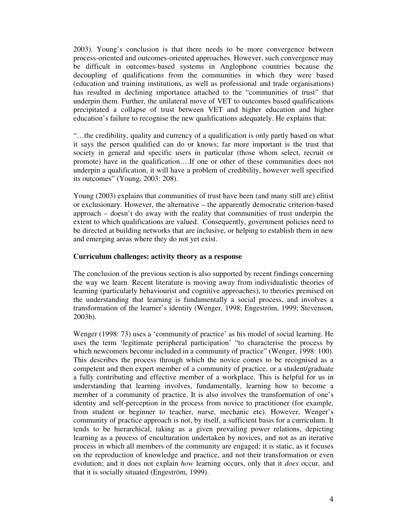2003). Young's conclusion is that there needs to be more convergence between process-oriented and outcomes-oriented approaches. However, such convergence may be difficult in outcomes-based systems in Anglophone countries because the decoupling of qualifications from the communities in which they were based (education and training institutions, as well as professional and trade organisations) has resulted in declining importance attached to the "communities of trust" that underpin them. Further, the unilateral move of VET to outcomes based qualifications precipitated a collapse of trust between VET and higher education and higher education's failure to recognise the new qualifications adequately. He explains that:

"…the credibility, quality and currency of a qualification is only partly based on what it says the person qualified can do or knows; far more important is the trust that society in general and specific users in particular (those whom select, recruit or promote) have in the qualification….If one or other of these communities does not underpin a qualification, it will have a problem of credibility, however well specified its outcomes" (Young, 2003: 208).

Young (2003) explains that communities of trust have been (and many still are) elitist or exclusionary. However, the alternative – the apparently democratic criterion-based approach – doesn't do away with the reality that communities of trust underpin the extent to which qualifications are valued. Consequently, government policies need to be directed at building networks that are inclusive, or helping to establish them in new and emerging areas where they do not yet exist.

### **Curriculum challenges: activity theory as a response**

The conclusion of the previous section is also supported by recent findings concerning the way we learn. Recent literature is moving away from individualistic theories of learning (particularly behaviourist and cognitive approaches), to theories premised on the understanding that learning is fundamentally a social process, and involves a transformation of the learner's identity (Wenger, 1998; Engeström, 1999; Stevenson, 2003b).

Wenger (1998: 73) uses a 'community of practice' as his model of social learning. He uses the term 'legitimate peripheral participation' "to characterise the process by which newcomers become included in a community of practice" (Wenger, 1998: 100). This describes the process through which the novice comes to be recognised as a competent and then expert member of a community of practice, or a student/graduate a fully contributing and effective member of a workplace. This is helpful for us in understanding that learning involves, fundamentally, learning how to become a member of a community of practice. It is also involves the transformation of one's identity and self-perception in the process from novice to practitioner (for example, from student or beginner to teacher, nurse, mechanic etc). However, Wenger's community of practice approach is not, by itself, a sufficient basis for a curriculum. It tends to be hierarchical, taking as a given prevailing power relations, depicting learning as a process of enculturation undertaken by novices, and not as an iterative process in which all members of the community are engaged; it is static, as it focuses on the reproduction of knowledge and practice, and not their transformation or even evolution; and it does not explain *how* learning occurs, only that it *does* occur, and that it is socially situated (Engeström, 1999).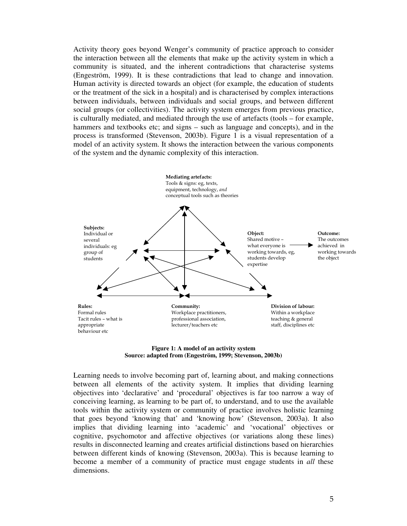Activity theory goes beyond Wenger's community of practice approach to consider the interaction between all the elements that make up the activity system in which a community is situated, and the inherent contradictions that characterise systems (Engeström, 1999). It is these contradictions that lead to change and innovation. Human activity is directed towards an object (for example, the education of students or the treatment of the sick in a hospital) and is characterised by complex interactions between individuals, between individuals and social groups, and between different social groups (or collectivities). The activity system emerges from previous practice, is culturally mediated, and mediated through the use of artefacts (tools – for example, hammers and textbooks etc; and signs – such as language and concepts), and in the process is transformed (Stevenson, 2003b). Figure 1 is a visual representation of a model of an activity system. It shows the interaction between the various components of the system and the dynamic complexity of this interaction.





Learning needs to involve becoming part of, learning about, and making connections between all elements of the activity system. It implies that dividing learning objectives into 'declarative' and 'procedural' objectives is far too narrow a way of conceiving learning, as learning to be part of, to understand, and to use the available tools within the activity system or community of practice involves holistic learning that goes beyond 'knowing that' and 'knowing how' (Stevenson, 2003a). It also implies that dividing learning into 'academic' and 'vocational' objectives or cognitive, psychomotor and affective objectives (or variations along these lines) results in disconnected learning and creates artificial distinctions based on hierarchies between different kinds of knowing (Stevenson, 2003a). This is because learning to become a member of a community of practice must engage students in *all* these dimensions.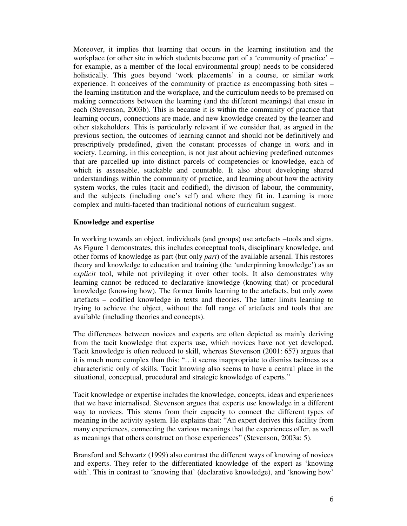Moreover, it implies that learning that occurs in the learning institution and the workplace (or other site in which students become part of a 'community of practice' – for example, as a member of the local environmental group) needs to be considered holistically. This goes beyond 'work placements' in a course, or similar work experience. It conceives of the community of practice as encompassing both sites – the learning institution and the workplace, and the curriculum needs to be premised on making connections between the learning (and the different meanings) that ensue in each (Stevenson, 2003b). This is because it is within the community of practice that learning occurs, connections are made, and new knowledge created by the learner and other stakeholders. This is particularly relevant if we consider that, as argued in the previous section, the outcomes of learning cannot and should not be definitively and prescriptively predefined, given the constant processes of change in work and in society. Learning, in this conception, is not just about achieving predefined outcomes that are parcelled up into distinct parcels of competencies or knowledge, each of which is assessable, stackable and countable. It also about developing shared understandings within the community of practice, and learning about how the activity system works, the rules (tacit and codified), the division of labour, the community, and the subjects (including one's self) and where they fit in. Learning is more complex and multi-faceted than traditional notions of curriculum suggest.

### **Knowledge and expertise**

In working towards an object, individuals (and groups) use artefacts –tools and signs. As Figure 1 demonstrates, this includes conceptual tools, disciplinary knowledge, and other forms of knowledge as part (but only *part*) of the available arsenal. This restores theory and knowledge to education and training (the 'underpinning knowledge') as an *explicit* tool, while not privileging it over other tools. It also demonstrates why learning cannot be reduced to declarative knowledge (knowing that) or procedural knowledge (knowing how). The former limits learning to the artefacts, but only *some* artefacts – codified knowledge in texts and theories. The latter limits learning to trying to achieve the object, without the full range of artefacts and tools that are available (including theories and concepts).

The differences between novices and experts are often depicted as mainly deriving from the tacit knowledge that experts use, which novices have not yet developed. Tacit knowledge is often reduced to skill, whereas Stevenson (2001: 657) argues that it is much more complex than this: "…it seems inappropriate to dismiss tacitness as a characteristic only of skills. Tacit knowing also seems to have a central place in the situational, conceptual, procedural and strategic knowledge of experts."

Tacit knowledge or expertise includes the knowledge, concepts, ideas and experiences that we have internalised. Stevenson argues that experts use knowledge in a different way to novices. This stems from their capacity to connect the different types of meaning in the activity system. He explains that: "An expert derives this facility from many experiences, connecting the various meanings that the experiences offer, as well as meanings that others construct on those experiences" (Stevenson, 2003a: 5).

Bransford and Schwartz (1999) also contrast the different ways of knowing of novices and experts. They refer to the differentiated knowledge of the expert as 'knowing with'. This in contrast to 'knowing that' (declarative knowledge), and 'knowing how'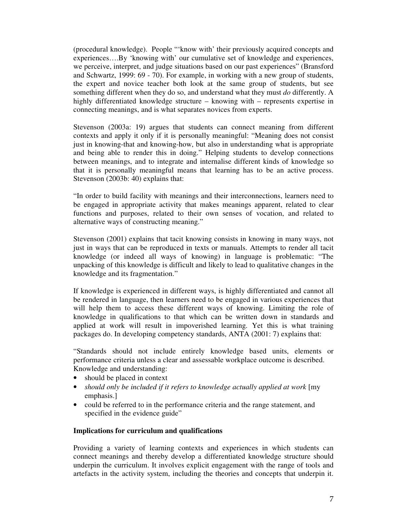(procedural knowledge). People "'know with' their previously acquired concepts and experiences….By 'knowing with' our cumulative set of knowledge and experiences, we perceive, interpret, and judge situations based on our past experiences" (Bransford and Schwartz, 1999: 69 - 70). For example, in working with a new group of students, the expert and novice teacher both look at the same group of students, but see something different when they do so, and understand what they must *do* differently. A highly differentiated knowledge structure – knowing with – represents expertise in connecting meanings, and is what separates novices from experts.

Stevenson (2003a: 19) argues that students can connect meaning from different contexts and apply it only if it is personally meaningful: "Meaning does not consist just in knowing-that and knowing-how, but also in understanding what is appropriate and being able to render this in doing." Helping students to develop connections between meanings, and to integrate and internalise different kinds of knowledge so that it is personally meaningful means that learning has to be an active process. Stevenson (2003b: 40) explains that:

"In order to build facility with meanings and their interconnections, learners need to be engaged in appropriate activity that makes meanings apparent, related to clear functions and purposes, related to their own senses of vocation, and related to alternative ways of constructing meaning."

Stevenson (2001) explains that tacit knowing consists in knowing in many ways, not just in ways that can be reproduced in texts or manuals. Attempts to render all tacit knowledge (or indeed all ways of knowing) in language is problematic: "The unpacking of this knowledge is difficult and likely to lead to qualitative changes in the knowledge and its fragmentation."

If knowledge is experienced in different ways, is highly differentiated and cannot all be rendered in language, then learners need to be engaged in various experiences that will help them to access these different ways of knowing. Limiting the role of knowledge in qualifications to that which can be written down in standards and applied at work will result in impoverished learning. Yet this is what training packages do. In developing competency standards, ANTA (2001: 7) explains that:

"Standards should not include entirely knowledge based units, elements or performance criteria unless a clear and assessable workplace outcome is described. Knowledge and understanding:

- should be placed in context
- *should only be included if it refers to knowledge actually applied at work* [my emphasis.]
- could be referred to in the performance criteria and the range statement, and specified in the evidence guide"

## **Implications for curriculum and qualifications**

Providing a variety of learning contexts and experiences in which students can connect meanings and thereby develop a differentiated knowledge structure should underpin the curriculum. It involves explicit engagement with the range of tools and artefacts in the activity system, including the theories and concepts that underpin it.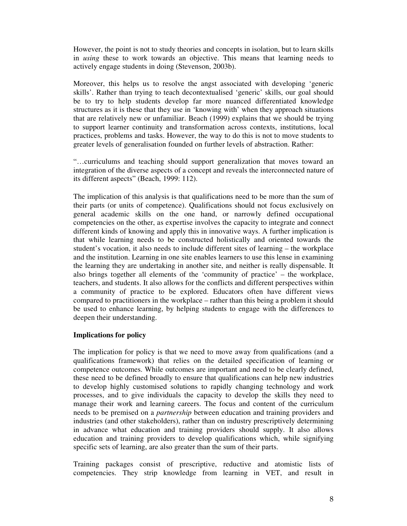However, the point is not to study theories and concepts in isolation, but to learn skills in *using* these to work towards an objective. This means that learning needs to actively engage students in doing (Stevenson, 2003b).

Moreover, this helps us to resolve the angst associated with developing 'generic skills'. Rather than trying to teach decontextualised 'generic' skills, our goal should be to try to help students develop far more nuanced differentiated knowledge structures as it is these that they use in 'knowing with' when they approach situations that are relatively new or unfamiliar. Beach (1999) explains that we should be trying to support learner continuity and transformation across contexts, institutions, local practices, problems and tasks. However, the way to do this is not to move students to greater levels of generalisation founded on further levels of abstraction. Rather:

"…curriculums and teaching should support generalization that moves toward an integration of the diverse aspects of a concept and reveals the interconnected nature of its different aspects" (Beach, 1999: 112).

The implication of this analysis is that qualifications need to be more than the sum of their parts (or units of competence). Qualifications should not focus exclusively on general academic skills on the one hand, or narrowly defined occupational competencies on the other, as expertise involves the capacity to integrate and connect different kinds of knowing and apply this in innovative ways. A further implication is that while learning needs to be constructed holistically and oriented towards the student's vocation, it also needs to include different sites of learning – the workplace and the institution. Learning in one site enables learners to use this lense in examining the learning they are undertaking in another site, and neither is really dispensable. It also brings together all elements of the 'community of practice' – the workplace, teachers, and students. It also allows for the conflicts and different perspectives within a community of practice to be explored. Educators often have different views compared to practitioners in the workplace – rather than this being a problem it should be used to enhance learning, by helping students to engage with the differences to deepen their understanding.

## **Implications for policy**

The implication for policy is that we need to move away from qualifications (and a qualifications framework) that relies on the detailed specification of learning or competence outcomes. While outcomes are important and need to be clearly defined, these need to be defined broadly to ensure that qualifications can help new industries to develop highly customised solutions to rapidly changing technology and work processes, and to give individuals the capacity to develop the skills they need to manage their work and learning careers. The focus and content of the curriculum needs to be premised on a *partnership* between education and training providers and industries (and other stakeholders), rather than on industry prescriptively determining in advance what education and training providers should supply. It also allows education and training providers to develop qualifications which, while signifying specific sets of learning, are also greater than the sum of their parts.

Training packages consist of prescriptive, reductive and atomistic lists of competencies. They strip knowledge from learning in VET, and result in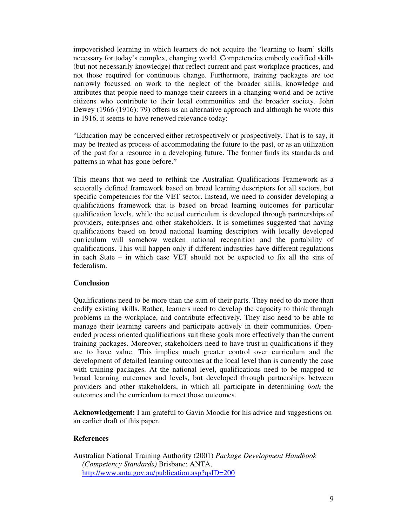impoverished learning in which learners do not acquire the 'learning to learn' skills necessary for today's complex, changing world. Competencies embody codified skills (but not necessarily knowledge) that reflect current and past workplace practices, and not those required for continuous change. Furthermore, training packages are too narrowly focussed on work to the neglect of the broader skills, knowledge and attributes that people need to manage their careers in a changing world and be active citizens who contribute to their local communities and the broader society. John Dewey (1966 (1916): 79) offers us an alternative approach and although he wrote this in 1916, it seems to have renewed relevance today:

"Education may be conceived either retrospectively or prospectively. That is to say, it may be treated as process of accommodating the future to the past, or as an utilization of the past for a resource in a developing future. The former finds its standards and patterns in what has gone before."

This means that we need to rethink the Australian Qualifications Framework as a sectorally defined framework based on broad learning descriptors for all sectors, but specific competencies for the VET sector. Instead, we need to consider developing a qualifications framework that is based on broad learning outcomes for particular qualification levels, while the actual curriculum is developed through partnerships of providers, enterprises and other stakeholders. It is sometimes suggested that having qualifications based on broad national learning descriptors with locally developed curriculum will somehow weaken national recognition and the portability of qualifications. This will happen only if different industries have different regulations in each State – in which case VET should not be expected to fix all the sins of federalism.

## **Conclusion**

Qualifications need to be more than the sum of their parts. They need to do more than codify existing skills. Rather, learners need to develop the capacity to think through problems in the workplace, and contribute effectively. They also need to be able to manage their learning careers and participate actively in their communities. Openended process oriented qualifications suit these goals more effectively than the current training packages. Moreover, stakeholders need to have trust in qualifications if they are to have value. This implies much greater control over curriculum and the development of detailed learning outcomes at the local level than is currently the case with training packages. At the national level, qualifications need to be mapped to broad learning outcomes and levels, but developed through partnerships between providers and other stakeholders, in which all participate in determining *both* the outcomes and the curriculum to meet those outcomes.

**Acknowledgement:** I am grateful to Gavin Moodie for his advice and suggestions on an earlier draft of this paper.

## **References**

Australian National Training Authority (2001) *Package Development Handbook (Competency Standards)* Brisbane: ANTA, http://www.anta.gov.au/publication.asp?qsID=200